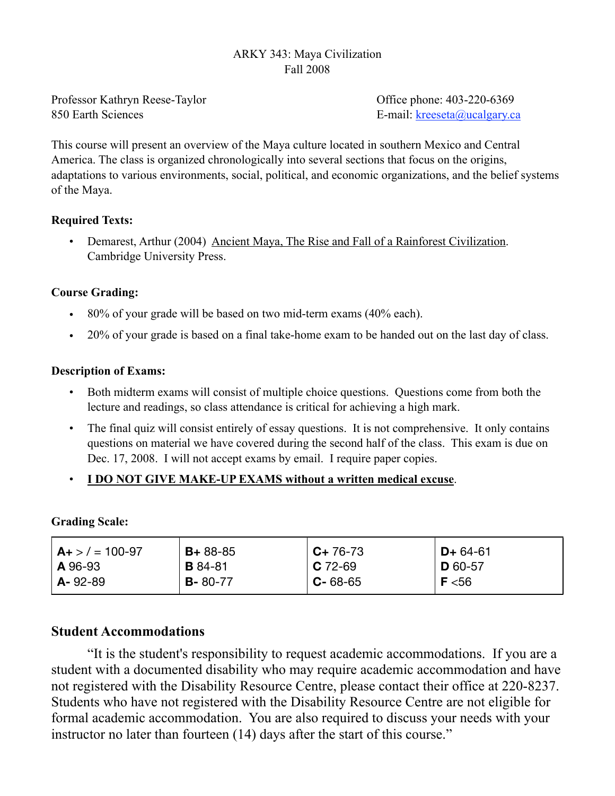### ARKY 343: Maya Civilization Fall 2008

Professor Kathryn Reese-Taylor Office phone: 403-220-6369 850 Earth Sciences E-mail: [kreeseta@ucalgary.ca](mailto:k_reesetaylor@yahoo.com)

This course will present an overview of the Maya culture located in southern Mexico and Central America. The class is organized chronologically into several sections that focus on the origins, adaptations to various environments, social, political, and economic organizations, and the belief systems of the Maya.

### **Required Texts:**

• Demarest, Arthur (2004) Ancient Maya, The Rise and Fall of a Rainforest Civilization. Cambridge University Press.

## **Course Grading:**

- 80% of your grade will be based on two mid-term exams (40% each).
- 20% of your grade is based on a final take-home exam to be handed out on the last day of class.

### **Description of Exams:**

- Both midterm exams will consist of multiple choice questions. Questions come from both the lecture and readings, so class attendance is critical for achieving a high mark.
- The final quiz will consist entirely of essay questions. It is not comprehensive. It only contains questions on material we have covered during the second half of the class. This exam is due on Dec. 17, 2008. I will not accept exams by email. I require paper copies.

## • **I DO NOT GIVE MAKE-UP EXAMS without a written medical excuse**.

#### **Grading Scale:**

| $A + > / = 100 - 97$ | $B + 88 - 85$  | $C+76-73$     | $D+64-61$ |
|----------------------|----------------|---------------|-----------|
| $ $ A 96-93          | <b>B</b> 84-81 | $C$ 72-69     | $D$ 60-57 |
| $A - 92 - 89$        | $B - 80 - 77$  | $C - 68 - 65$ | F < 56    |

## **Student Accommodations**

 "It is the student's responsibility to request academic accommodations. If you are a student with a documented disability who may require academic accommodation and have not registered with the Disability Resource Centre, please contact their office at 220-8237. Students who have not registered with the Disability Resource Centre are not eligible for formal academic accommodation. You are also required to discuss your needs with your instructor no later than fourteen (14) days after the start of this course."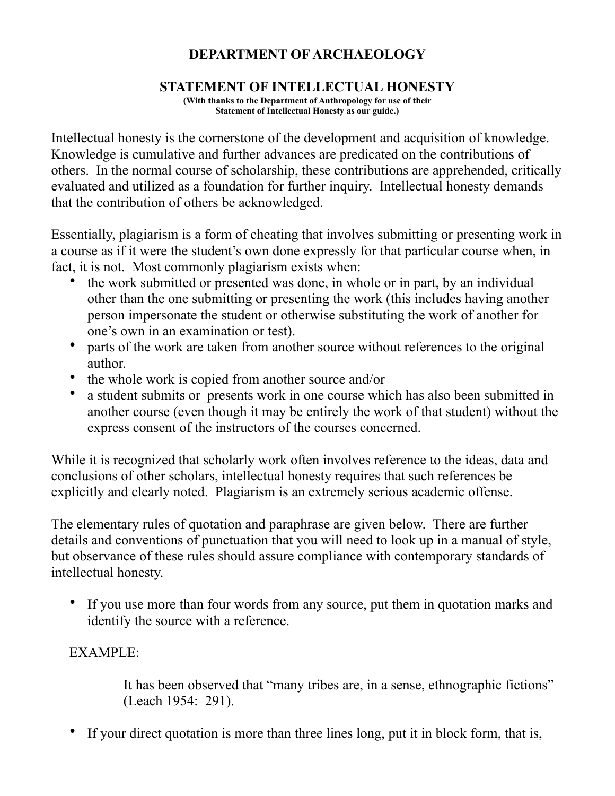# **DEPARTMENT OF ARCHAEOLOGY**

## **STATEMENT OF INTELLECTUAL HONESTY**

**(With thanks to the Department of Anthropology for use of their Statement of Intellectual Honesty as our guide.)** 

Intellectual honesty is the cornerstone of the development and acquisition of knowledge. Knowledge is cumulative and further advances are predicated on the contributions of others. In the normal course of scholarship, these contributions are apprehended, critically evaluated and utilized as a foundation for further inquiry. Intellectual honesty demands that the contribution of others be acknowledged.

Essentially, plagiarism is a form of cheating that involves submitting or presenting work in a course as if it were the student's own done expressly for that particular course when, in fact, it is not. Most commonly plagiarism exists when:

- the work submitted or presented was done, in whole or in part, by an individual other than the one submitting or presenting the work (this includes having another person impersonate the student or otherwise substituting the work of another for one's own in an examination or test).
- parts of the work are taken from another source without references to the original author.
- the whole work is copied from another source and/or
- a student submits or presents work in one course which has also been submitted in another course (even though it may be entirely the work of that student) without the express consent of the instructors of the courses concerned.

While it is recognized that scholarly work often involves reference to the ideas, data and conclusions of other scholars, intellectual honesty requires that such references be explicitly and clearly noted. Plagiarism is an extremely serious academic offense.

The elementary rules of quotation and paraphrase are given below. There are further details and conventions of punctuation that you will need to look up in a manual of style, but observance of these rules should assure compliance with contemporary standards of intellectual honesty.

• If you use more than four words from any source, put them in quotation marks and identify the source with a reference.

## EXAMPLE:

 It has been observed that "many tribes are, in a sense, ethnographic fictions" (Leach 1954: 291).

• If your direct quotation is more than three lines long, put it in block form, that is,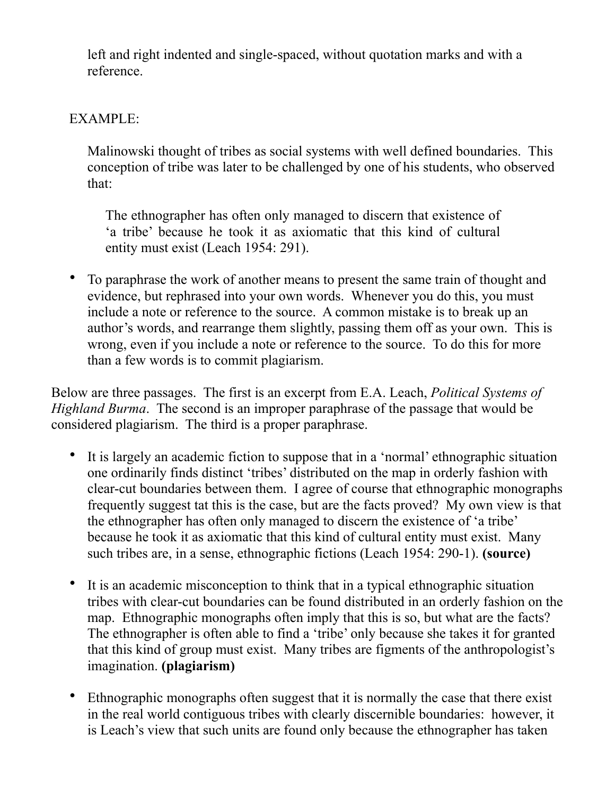left and right indented and single-spaced, without quotation marks and with a reference.

## EXAMPLE:

Malinowski thought of tribes as social systems with well defined boundaries. This conception of tribe was later to be challenged by one of his students, who observed that:

The ethnographer has often only managed to discern that existence of 'a tribe' because he took it as axiomatic that this kind of cultural entity must exist (Leach 1954: 291).

• To paraphrase the work of another means to present the same train of thought and evidence, but rephrased into your own words. Whenever you do this, you must include a note or reference to the source. A common mistake is to break up an author's words, and rearrange them slightly, passing them off as your own. This is wrong, even if you include a note or reference to the source. To do this for more than a few words is to commit plagiarism.

Below are three passages. The first is an excerpt from E.A. Leach, *Political Systems of Highland Burma*. The second is an improper paraphrase of the passage that would be considered plagiarism. The third is a proper paraphrase.

- It is largely an academic fiction to suppose that in a 'normal' ethnographic situation one ordinarily finds distinct 'tribes' distributed on the map in orderly fashion with clear-cut boundaries between them. I agree of course that ethnographic monographs frequently suggest tat this is the case, but are the facts proved? My own view is that the ethnographer has often only managed to discern the existence of 'a tribe' because he took it as axiomatic that this kind of cultural entity must exist. Many such tribes are, in a sense, ethnographic fictions (Leach 1954: 290-1). **(source)**
- It is an academic misconception to think that in a typical ethnographic situation tribes with clear-cut boundaries can be found distributed in an orderly fashion on the map. Ethnographic monographs often imply that this is so, but what are the facts? The ethnographer is often able to find a 'tribe' only because she takes it for granted that this kind of group must exist. Many tribes are figments of the anthropologist's imagination. **(plagiarism)**
- Ethnographic monographs often suggest that it is normally the case that there exist in the real world contiguous tribes with clearly discernible boundaries: however, it is Leach's view that such units are found only because the ethnographer has taken